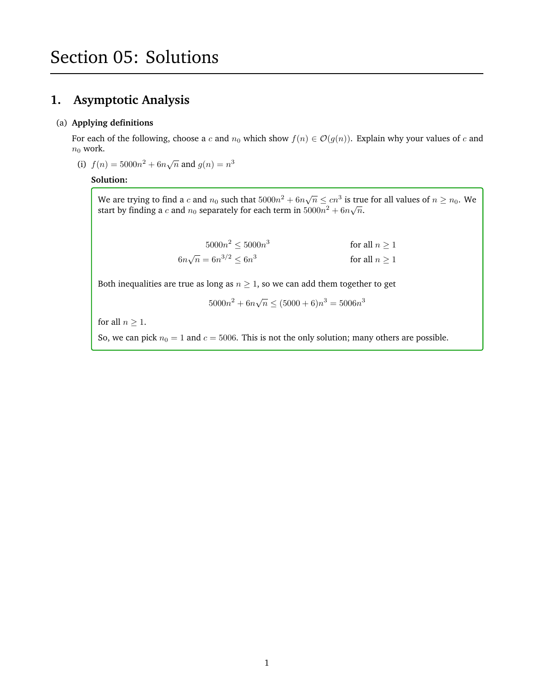## **1. Asymptotic Analysis**

#### (a) **Applying definitions**

For each of the following, choose a c and  $n_0$  which show  $f(n) \in \mathcal{O}(g(n))$ . Explain why your values of c and  $n_0$  work.

(i)  $f(n) = 5000n^2 + 6n\sqrt{n}$  and  $g(n) = n^3$ 

#### **Solution:**

We are trying to find a c and  $n_0$  such that  $5000n^2 + 6n\sqrt{n} \leq cn^3$  is true for all values of  $n \geq n_0$ . We start by finding a  $c$  and  $n_0$  separately for each term in  $5000n^2 + 6n\sqrt{n}$ .

| $5000n^2 \leq 5000n^3$            | for all $n > 1$    |
|-----------------------------------|--------------------|
| $6n\sqrt{n} = 6n^{3/2} \leq 6n^3$ | for all $n \geq 1$ |

Both inequalities are true as long as  $n \geq 1$ , so we can add them together to get

 $5000n^2 + 6n\sqrt{n} \le (5000 + 6)n^3 = 5006n^3$ 

for all  $n \geq 1$ .

So, we can pick  $n_0 = 1$  and  $c = 5006$ . This is not the only solution; many others are possible.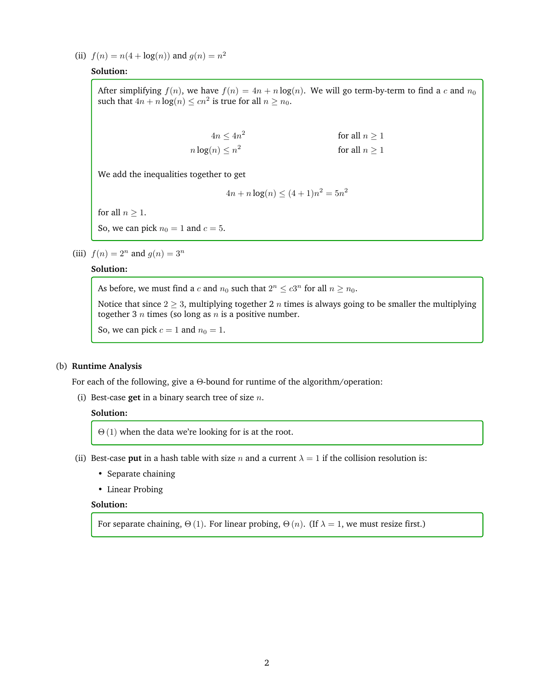(ii)  $f(n) = n(4 + \log(n))$  and  $g(n) = n^2$ 

### **Solution:**

After simplifying  $f(n)$ , we have  $f(n) = 4n + n \log(n)$ . We will go term-by-term to find a c and  $n_0$ such that  $4n + n \log(n) \leq cn^2$  is true for all  $n \geq n_0$ .

| $4n \leq 4n^2$       | for all $n > 1$    |
|----------------------|--------------------|
| $n \log(n) \leq n^2$ | for all $n \geq 1$ |

We add the inequalities together to get

$$
4n + n\log(n) \le (4+1)n^2 = 5n^2
$$

for all  $n \geq 1$ .

So, we can pick  $n_0 = 1$  and  $c = 5$ .

(iii)  $f(n) = 2^n$  and  $g(n) = 3^n$ 

#### **Solution:**

As before, we must find a c and  $n_0$  such that  $2^n \leq c3^n$  for all  $n \geq n_0$ .

Notice that since  $2 \geq 3$ , multiplying together 2 *n* times is always going to be smaller the multiplying together 3  $n$  times (so long as  $n$  is a positive number.

So, we can pick  $c = 1$  and  $n_0 = 1$ .

#### (b) **Runtime Analysis**

For each of the following, give a Θ-bound for runtime of the algorithm/operation:

(i) Best-case **get** in a binary search tree of size n.

#### **Solution:**

 $\Theta(1)$  when the data we're looking for is at the root.

- (ii) Best-case **put** in a hash table with size n and a current  $\lambda = 1$  if the collision resolution is:
	- Separate chaining
	- Linear Probing

#### **Solution:**

For separate chaining,  $\Theta(1)$ . For linear probing,  $\Theta(n)$ . (If  $\lambda = 1$ , we must resize first.)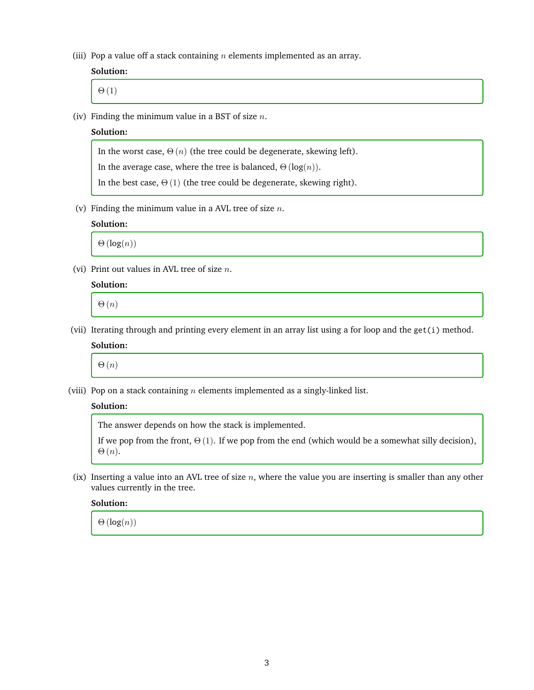(iii) Pop a value off a stack containing  $n$  elements implemented as an array.

#### **Solution:**

 $\Theta(1)$ 

(iv) Finding the minimum value in a BST of size  $n$ .

#### **Solution:**

In the worst case,  $\Theta(n)$  (the tree could be degenerate, skewing left).

In the average case, where the tree is balanced,  $\Theta(\log(n))$ .

In the best case,  $\Theta(1)$  (the tree could be degenerate, skewing right).

(v) Finding the minimum value in a AVL tree of size  $n$ .

#### **Solution:**

 $\Theta(\log(n))$ 

(vi) Print out values in AVL tree of size  $n$ .

#### **Solution:**

 $\Theta(n)$ 

(vii) Iterating through and printing every element in an array list using a for loop and the get(i) method.

## **Solution:**

 $\Theta(n)$ 

(viii) Pop on a stack containing  $n$  elements implemented as a singly-linked list.

#### **Solution:**

The answer depends on how the stack is implemented.

If we pop from the front,  $\Theta(1)$ . If we pop from the end (which would be a somewhat silly decision),  $\Theta(n)$ .

(ix) Inserting a value into an AVL tree of size  $n$ , where the value you are inserting is smaller than any other values currently in the tree.

**Solution:**

 $\Theta(\log(n))$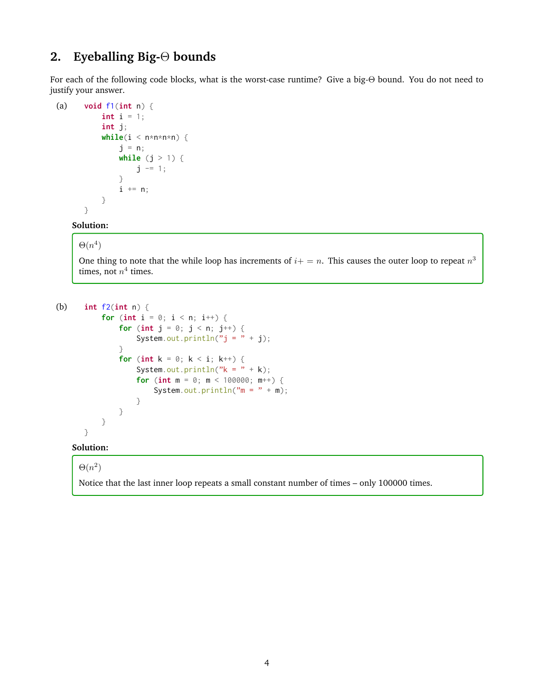# **2. Eyeballing Big-**Θ **bounds**

For each of the following code blocks, what is the worst-case runtime? Give a big-Θ bound. You do not need to justify your answer.

```
(a) void f1(int n) {
           int i = 1;
           int j;
           while(i < n * n * n * n) {
               j = n;while (j > 1) {
                   j -= 1;
               }
               i \neq n;
           }
       }
```
#### **Solution:**

#### $\Theta(n^4)$

One thing to note that the while loop has increments of  $i+=n$ . This causes the outer loop to repeat  $n^3$ times, not  $n^4$  times.

```
(b) int f2(int n) {
          for (int i = 0; i < n; i^{++}) {
               for (int j = 0; j < n; j^{++}) {
                   System.out.println("j = " + j);}
               for (int k = 0; k < i; k++) {
                   System.out.println("k = " + k);
                   for (int m = 0; m < 100000; m++) {
                       System.out.println(m = " + m);
                   }
              }
          }
      }
```
#### **Solution:**

#### $\Theta(n^2)$

Notice that the last inner loop repeats a small constant number of times – only 100000 times.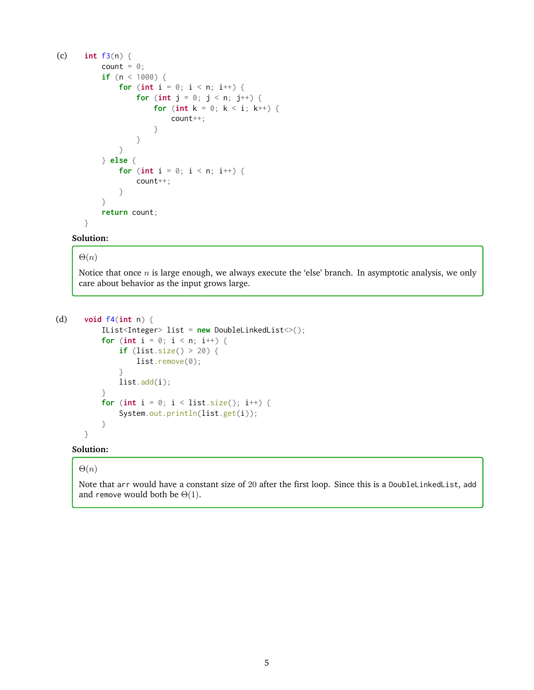```
(c) int f3(n) {
          count = \theta;
          if (n < 1000) {
               for (int i = 0; i < n; i++) {
                   for (int j = 0; j < n; j^{++}) {
                       for (int k = 0; k < i; k++) {
                            count++;
                       }
                   }
               }
          } else {
               for (int i = 0; i < n; i^{++}) {
                   count++;
               }
           }
          return count;
```
## }

#### **Solution:**

#### $\Theta(n)$

Notice that once  $n$  is large enough, we always execute the 'else' branch. In asymptotic analysis, we only care about behavior as the input grows large.

```
(d) void f4(int n) {
          IList<Integer> list = new DoubleLinkedList<>();
          for (int i = 0; i < n; i++) {
              if (list.size() > 20) {
                  list.remove(0);
              }
              list.add(i);
```

```
}
for (int i = 0; i < list.size(); i^{++}) {
    System.out.println(list.get(i));
}
```
#### **Solution:**

}

#### $\Theta(n)$

Note that arr would have a constant size of 20 after the first loop. Since this is a DoubleLinkedList, add and remove would both be  $\Theta(1)$ .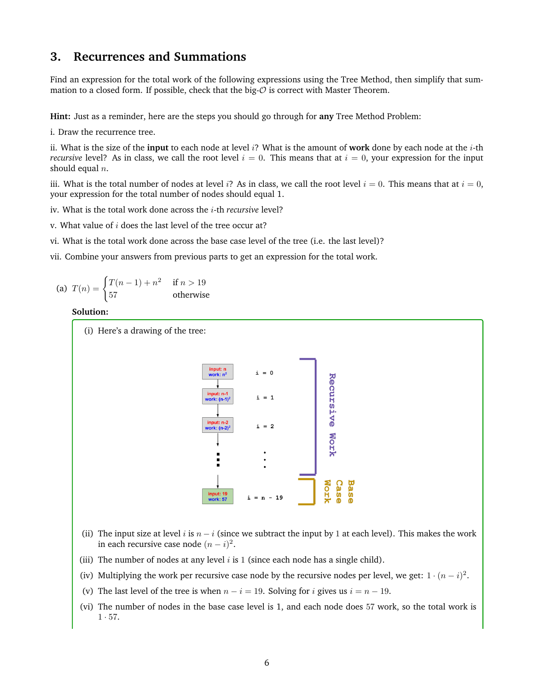## **3. Recurrences and Summations**

Find an expression for the total work of the following expressions using the Tree Method, then simplify that summation to a closed form. If possible, check that the big- $O$  is correct with Master Theorem.

**Hint:** Just as a reminder, here are the steps you should go through for **any** Tree Method Problem:

i. Draw the recurrence tree.

ii. What is the size of the **input** to each node at level  $i$ ? What is the amount of **work** done by each node at the  $i$ -th *recursive* level? As in class, we call the root level  $i = 0$ . This means that at  $i = 0$ , your expression for the input should equal  $n$ .

iii. What is the total number of nodes at level i? As in class, we call the root level  $i = 0$ . This means that at  $i = 0$ , your expression for the total number of nodes should equal 1.

iv. What is the total work done across the i-th *recursive* level?

v. What value of  $i$  does the last level of the tree occur at?

- vi. What is the total work done across the base case level of the tree (i.e. the last level)?
- vii. Combine your answers from previous parts to get an expression for the total work.

(a) 
$$
T(n) = \begin{cases} T(n-1) + n^2 & \text{if } n > 19\\ 57 & \text{otherwise} \end{cases}
$$

#### **Solution:**



- (ii) The input size at level i is  $n i$  (since we subtract the input by 1 at each level). This makes the work in each recursive case node  $(n - i)^2$ .
- (iii) The number of nodes at any level  $i$  is 1 (since each node has a single child).
- (iv) Multiplying the work per recursive case node by the recursive nodes per level, we get:  $1 \cdot (n i)^2$ .
- (v) The last level of the tree is when  $n i = 19$ . Solving for i gives us  $i = n 19$ .
- (vi) The number of nodes in the base case level is 1, and each node does 57 work, so the total work is  $1 \cdot 57$ .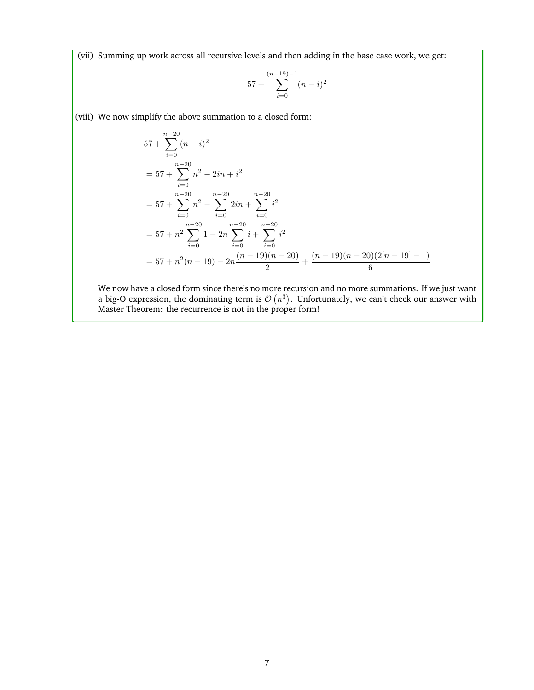(vii) Summing up work across all recursive levels and then adding in the base case work, we get:

$$
57 + \sum_{i=0}^{(n-19)-1} (n-i)^2
$$

(viii) We now simplify the above summation to a closed form:

$$
57 + \sum_{i=0}^{n-20} (n-i)^2
$$
  
= 57 +  $\sum_{i=0}^{n-20} n^2 - 2in + i^2$   
= 57 +  $\sum_{i=0}^{n-20} n^2 - \sum_{i=0}^{n-20} 2in + \sum_{i=0}^{n-20} i^2$   
= 57 +  $n^2 \sum_{i=0}^{n-20} 1 - 2n \sum_{i=0}^{n-20} i + \sum_{i=0}^{n-20} i^2$   
= 57 +  $n^2(n-19) - 2n \frac{(n-19)(n-20)}{2} + \frac{(n-19)(n-20)(2[n-19]-1)}{6}$ 

We now have a closed form since there's no more recursion and no more summations. If we just want a big-O expression, the dominating term is  $\mathcal{O}(n^3)$ . Unfortunately, we can't check our answer with Master Theorem: the recurrence is not in the proper form!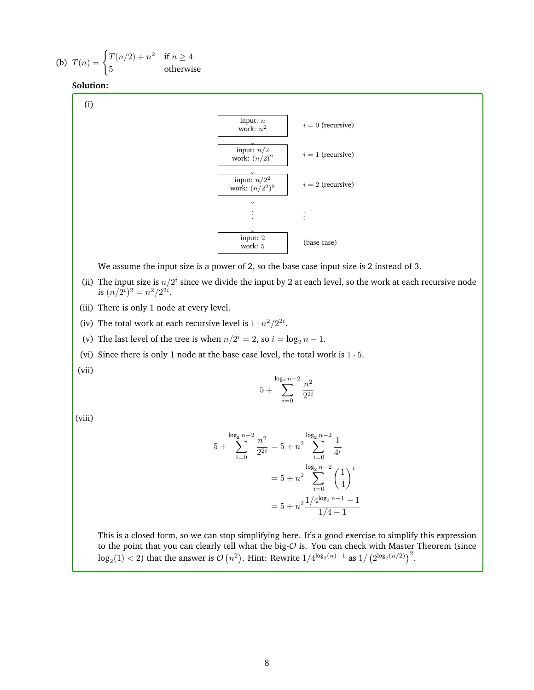(b) 
$$
T(n) = \begin{cases} T(n/2) + n^2 & \text{if } n \ge 4\\ 5 & \text{otherwise} \end{cases}
$$



(i)



We assume the input size is a power of 2, so the base case input size is 2 instead of 3.

- (ii) The input size is  $n/2<sup>i</sup>$  since we divide the input by 2 at each level, so the work at each recursive node is  $(n/2^i)^2 = n^2/2^{2i}$ .
- (iii) There is only 1 node at every level.
- (iv) The total work at each recursive level is  $1 \cdot n^2/2^{2i}$ .
- (v) The last level of the tree is when  $n/2^i = 2$ , so  $i = \log_2 n 1$ .
- (vi) Since there is only 1 node at the base case level, the total work is  $1 \cdot 5$ .

(vii)

$$
5+\sum_{i=0}^{\log_2 n-2} \frac{n^2}{2^{2i}}
$$

(viii)

$$
5 + \sum_{i=0}^{\log_2 n - 2} \frac{n^2}{2^{2i}} = 5 + n^2 \sum_{i=0}^{\log_2 n - 2} \frac{1}{4^i}
$$

$$
= 5 + n^2 \sum_{i=0}^{\log_2 n - 2} \left(\frac{1}{4}\right)^i
$$

$$
= 5 + n^2 \frac{1/4^{\log_2 n - 1} - 1}{1/4 - 1}
$$

This is a closed form, so we can stop simplifying here. It's a good exercise to simplify this expression to the point that you can clearly tell what the big- $O$  is. You can check with Master Theorem (since  $\log_2(1)$  < 2) that the answer is  $\mathcal{O}(n^2)$ . Hint: Rewrite  $1/4^{\log_2(n)-1}$  as  $1/\left(2^{\log_2(n/2)}\right)^2$ .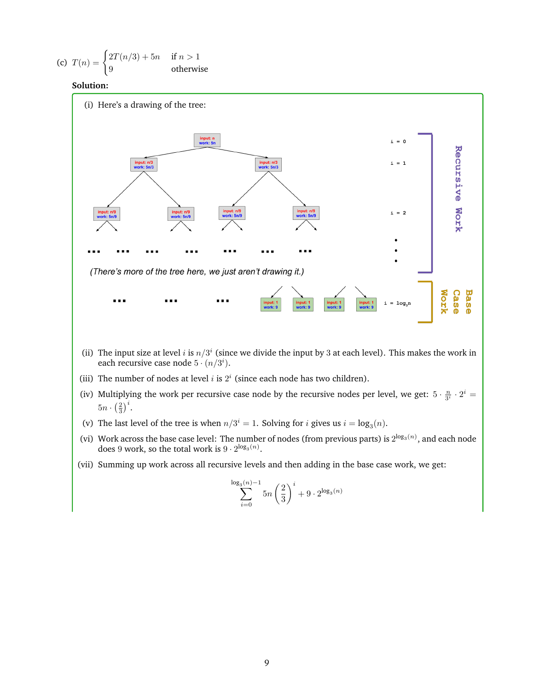(c) 
$$
T(n) = \begin{cases} 2T(n/3) + 5n & \text{if } n > 1 \\ 9 & \text{otherwise} \end{cases}
$$

#### **Solution:**



- (ii) The input size at level i is  $n/3<sup>i</sup>$  (since we divide the input by 3 at each level). This makes the work in each recursive case node  $5 \cdot (n/3^i)$ .
- (iii) The number of nodes at level  $i$  is  $2^i$  (since each node has two children).
- (iv) Multiplying the work per recursive case node by the recursive nodes per level, we get:  $5 \cdot \frac{n}{3^i} \cdot 2^i =$  $5n \cdot \left(\frac{2}{3}\right)^i$ .
- (v) The last level of the tree is when  $n/3^i = 1$ . Solving for *i* gives us  $i = \log_3(n)$ .
- (vi) Work across the base case level: The number of nodes (from previous parts) is  $2^{\log_3(n)}$ , and each node does 9 work, so the total work is  $9 \cdot 2^{\log_3(n)}$ .
- (vii) Summing up work across all recursive levels and then adding in the base case work, we get:

$$
\sum_{i=0}^{\log_3(n)-1} 5n \left(\frac{2}{3}\right)^i + 9 \cdot 2^{\log_3(n)}
$$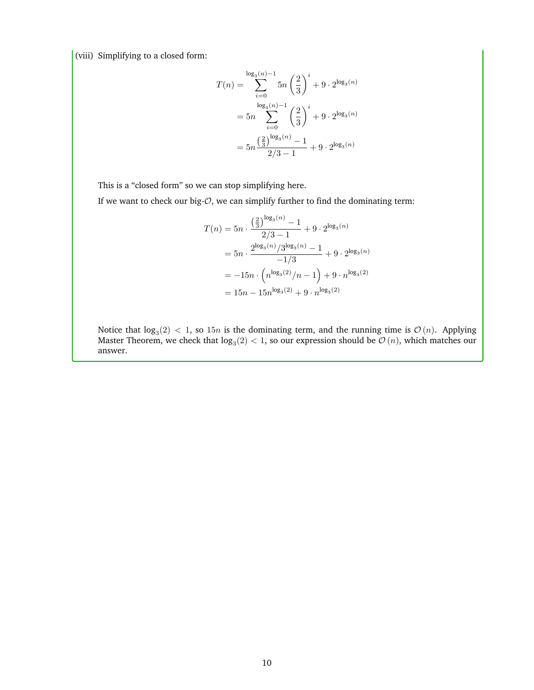(viii) Simplifying to a closed form:

$$
T(n) = \sum_{i=0}^{\log_3(n)-1} 5n \left(\frac{2}{3}\right)^i + 9 \cdot 2^{\log_3(n)}
$$
  
=  $5n \sum_{i=0}^{\log_3(n)-1} \left(\frac{2}{3}\right)^i + 9 \cdot 2^{\log_3(n)}$   
=  $5n \frac{\left(\frac{2}{3}\right)^{\log_3(n)} - 1}{2/3 - 1} + 9 \cdot 2^{\log_3(n)}$ 

This is a "closed form" so we can stop simplifying here.

If we want to check our big- $O$ , we can simplify further to find the dominating term:

$$
T(n) = 5n \cdot \frac{\left(\frac{2}{3}\right)^{\log_3(n)} - 1}{2/3 - 1} + 9 \cdot 2^{\log_3(n)}
$$
  
=  $5n \cdot \frac{2^{\log_3(n)} / 3^{\log_3(n)} - 1}{-1/3} + 9 \cdot 2^{\log_3(n)}$   
=  $-15n \cdot \left(n^{\log_3(2)} / n - 1\right) + 9 \cdot n^{\log_3(2)}$   
=  $15n - 15n^{\log_3(2)} + 9 \cdot n^{\log_3(2)}$ 

Notice that  $log_3(2) < 1$ , so  $15n$  is the dominating term, and the running time is  $\mathcal{O}(n)$ . Applying Master Theorem, we check that  $\log_3(2) < 1$ , so our expression should be  $\mathcal{O}\left(n\right)$ , which matches our answer.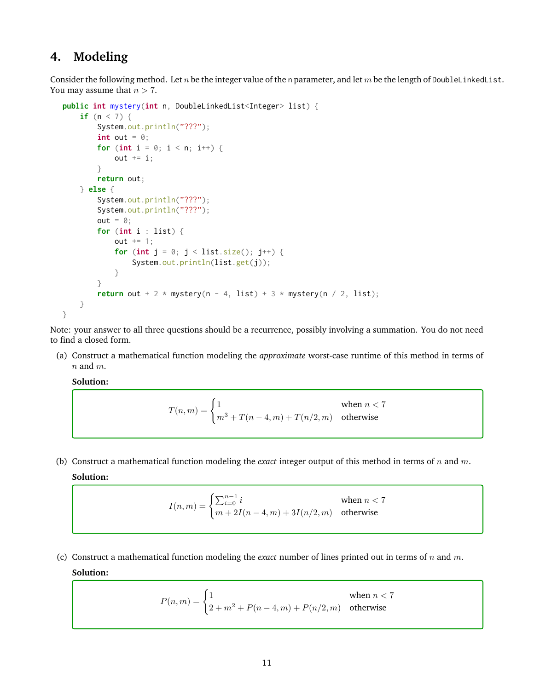## **4. Modeling**

Consider the following method. Let n be the integer value of the n parameter, and let m be the length of DoubleLinkedList. You may assume that  $n > 7$ .

```
public int mystery(int n, DoubleLinkedList<Integer> list) {
    if (n < 7) {
        System.out.println("???");
        int out = \emptyset;
        for (int i = 0; i < n; i++) {
            out += i;
        }
        return out;
   } else {
        System.out.println("???");
        System.out.println("???");
        out = 0;for (int i : list) {
            out += 1;for (int j = 0; j < list.size(); j^{++}) {
                System.out.println(list.get(j));
            }
        }
        return out + 2 * mystery(n - 4, list) + 3 * mystery(n / 2, list);
    }
}
```
Note: your answer to all three questions should be a recurrence, possibly involving a summation. You do not need to find a closed form.

(a) Construct a mathematical function modeling the *approximate* worst-case runtime of this method in terms of  $n$  and  $m$ .

**Solution:**

$$
T(n,m) = \begin{cases} 1 & \text{when } n < 7\\ m^3 + T(n-4,m) + T(n/2,m) & \text{otherwise} \end{cases}
$$

(b) Construct a mathematical function modeling the *exact* integer output of this method in terms of n and m. **Solution:**

$$
I(n,m) = \begin{cases} \sum_{i=0}^{n-1} i & \text{when } n < 7\\ m + 2I(n-4,m) + 3I(n/2,m) & \text{otherwise} \end{cases}
$$

(c) Construct a mathematical function modeling the *exact* number of lines printed out in terms of  $n$  and  $m$ . **Solution:**

$$
P(n,m) = \begin{cases} 1 & \text{when } n < 7\\ 2 + m^2 + P(n-4,m) + P(n/2,m) & \text{otherwise} \end{cases}
$$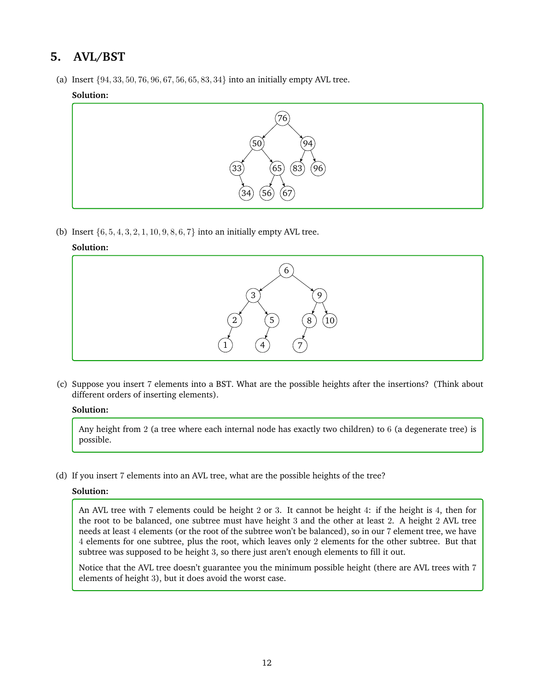## **5. AVL/BST**

(a) Insert {94, 33, 50, 76, 96, 67, 56, 65, 83, 34} into an initially empty AVL tree.

#### **Solution:**



(b) Insert  $\{6, 5, 4, 3, 2, 1, 10, 9, 8, 6, 7\}$  into an initially empty AVL tree.

#### **Solution:**



(c) Suppose you insert 7 elements into a BST. What are the possible heights after the insertions? (Think about different orders of inserting elements).

#### **Solution:**

Any height from 2 (a tree where each internal node has exactly two children) to 6 (a degenerate tree) is possible.

(d) If you insert 7 elements into an AVL tree, what are the possible heights of the tree?

#### **Solution:**

An AVL tree with 7 elements could be height 2 or 3. It cannot be height 4: if the height is 4, then for the root to be balanced, one subtree must have height 3 and the other at least 2. A height 2 AVL tree needs at least 4 elements (or the root of the subtree won't be balanced), so in our 7 element tree, we have 4 elements for one subtree, plus the root, which leaves only 2 elements for the other subtree. But that subtree was supposed to be height 3, so there just aren't enough elements to fill it out.

Notice that the AVL tree doesn't guarantee you the minimum possible height (there are AVL trees with 7 elements of height 3), but it does avoid the worst case.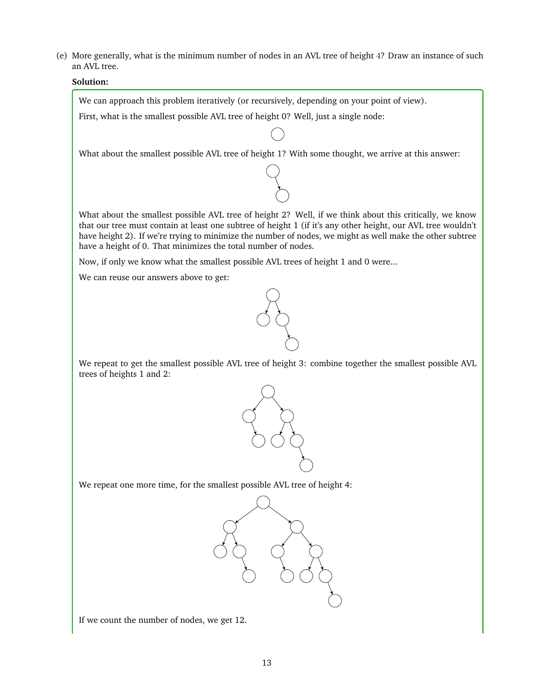(e) More generally, what is the minimum number of nodes in an AVL tree of height 4? Draw an instance of such an AVL tree.

#### **Solution:**

We can approach this problem iteratively (or recursively, depending on your point of view).

First, what is the smallest possible AVL tree of height 0? Well, just a single node:

What about the smallest possible AVL tree of height 1? With some thought, we arrive at this answer:

What about the smallest possible AVL tree of height 2? Well, if we think about this critically, we know that our tree must contain at least one subtree of height 1 (if it's any other height, our AVL tree wouldn't have height 2). If we're trying to minimize the number of nodes, we might as well make the other subtree have a height of 0. That minimizes the total number of nodes.

Now, if only we know what the smallest possible AVL trees of height 1 and 0 were...

We can reuse our answers above to get:



We repeat to get the smallest possible AVL tree of height 3: combine together the smallest possible AVL trees of heights 1 and 2:



We repeat one more time, for the smallest possible AVL tree of height 4:



If we count the number of nodes, we get 12.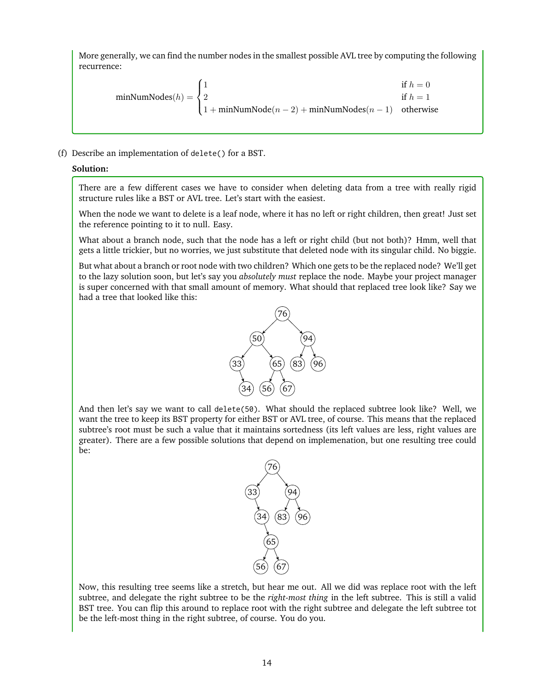More generally, we can find the number nodes in the smallest possible AVL tree by computing the following recurrence:

$$
\text{minNumNodes}(h) = \begin{cases} 1 & \text{if } h = 0\\ 2 & \text{if } h = 1\\ 1 + \text{minNumNode}(n-2) + \text{minNumNodes}(n-1) & \text{otherwise} \end{cases}
$$

(f) Describe an implementation of delete() for a BST.

#### **Solution:**

There are a few different cases we have to consider when deleting data from a tree with really rigid structure rules like a BST or AVL tree. Let's start with the easiest.

When the node we want to delete is a leaf node, where it has no left or right children, then great! Just set the reference pointing to it to null. Easy.

What about a branch node, such that the node has a left or right child (but not both)? Hmm, well that gets a little trickier, but no worries, we just substitute that deleted node with its singular child. No biggie.

But what about a branch or root node with two children? Which one gets to be the replaced node? We'll get to the lazy solution soon, but let's say you *absolutely must* replace the node. Maybe your project manager is super concerned with that small amount of memory. What should that replaced tree look like? Say we had a tree that looked like this:



And then let's say we want to call delete(50). What should the replaced subtree look like? Well, we want the tree to keep its BST property for either BST or AVL tree, of course. This means that the replaced subtree's root must be such a value that it maintains sortedness (its left values are less, right values are greater). There are a few possible solutions that depend on implemenation, but one resulting tree could be:



Now, this resulting tree seems like a stretch, but hear me out. All we did was replace root with the left subtree, and delegate the right subtree to be the *right-most thing* in the left subtree. This is still a valid BST tree. You can flip this around to replace root with the right subtree and delegate the left subtree tot be the left-most thing in the right subtree, of course. You do you.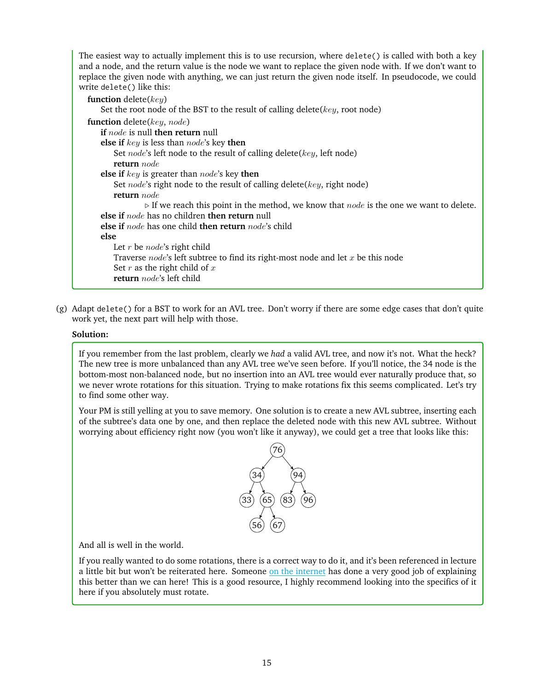The easiest way to actually implement this is to use recursion, where delete() is called with both a key and a node, and the return value is the node we want to replace the given node with. If we don't want to replace the given node with anything, we can just return the given node itself. In pseudocode, we could write delete() like this:

| function delete $(key)$                                                                                       |
|---------------------------------------------------------------------------------------------------------------|
| Set the root node of the BST to the result of calling delete( $key$ , root node)                              |
| function delete $(key, node)$                                                                                 |
| if $node$ is null then return null                                                                            |
| <b>else if</b> $key$ is less than $node$ 's key <b>then</b>                                                   |
| Set <i>node</i> 's left node to the result of calling delete( $key$ , left node)                              |
| <b>return</b> node                                                                                            |
| else if $key$ is greater than $node$ 's key then                                                              |
| Set <i>node</i> 's right node to the result of calling delete( $key$ , right node)                            |
| <b>return</b> node                                                                                            |
| $\triangleright$ If we reach this point in the method, we know that <i>node</i> is the one we want to delete. |
| else if $node$ has no children then return null                                                               |
| <b>else if</b> node has one child <b>then return</b> node's child                                             |
| else                                                                                                          |
| Let $r$ be <i>node</i> 's right child                                                                         |
| Traverse $node$ 's left subtree to find its right-most node and let $x$ be this node                          |
| Set $r$ as the right child of $x$                                                                             |
| return <i>node</i> 's left child                                                                              |
|                                                                                                               |

(g) Adapt delete() for a BST to work for an AVL tree. Don't worry if there are some edge cases that don't quite work yet, the next part will help with those.

#### **Solution:**

If you remember from the last problem, clearly we *had* a valid AVL tree, and now it's not. What the heck? The new tree is more unbalanced than any AVL tree we've seen before. If you'll notice, the 34 node is the bottom-most non-balanced node, but no insertion into an AVL tree would ever naturally produce that, so we never wrote rotations for this situation. Trying to make rotations fix this seems complicated. Let's try to find some other way.

Your PM is still yelling at you to save memory. One solution is to create a new AVL subtree, inserting each of the subtree's data one by one, and then replace the deleted node with this new AVL subtree. Without worrying about efficiency right now (you won't like it anyway), we could get a tree that looks like this:



And all is well in the world.

If you really wanted to do some rotations, there is a correct way to do it, and it's been referenced in lecture a little bit but won't be reiterated here. Someone [on the internet](https://en.wikipedia.org/wiki/AVL_tree#Delete) has done a very good job of explaining this better than we can here! This is a good resource, I highly recommend looking into the specifics of it here if you absolutely must rotate.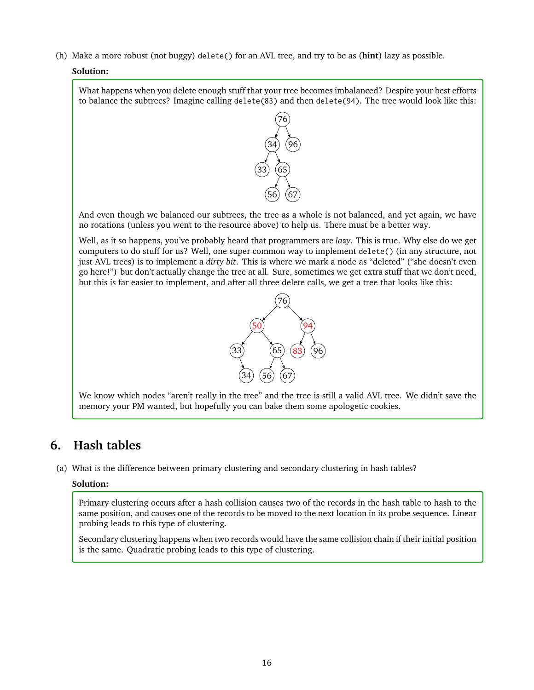(h) Make a more robust (not buggy) delete() for an AVL tree, and try to be as (**hint**) lazy as possible.

#### **Solution:**

What happens when you delete enough stuff that your tree becomes imbalanced? Despite your best efforts to balance the subtrees? Imagine calling delete(83) and then delete(94). The tree would look like this:



And even though we balanced our subtrees, the tree as a whole is not balanced, and yet again, we have no rotations (unless you went to the resource above) to help us. There must be a better way.

Well, as it so happens, you've probably heard that programmers are *lazy*. This is true. Why else do we get computers to do stuff for us? Well, one super common way to implement delete() (in any structure, not just AVL trees) is to implement a *dirty bit*. This is where we mark a node as "deleted" ("she doesn't even go here!") but don't actually change the tree at all. Sure, sometimes we get extra stuff that we don't need, but this is far easier to implement, and after all three delete calls, we get a tree that looks like this:



We know which nodes "aren't really in the tree" and the tree is still a valid AVL tree. We didn't save the memory your PM wanted, but hopefully you can bake them some apologetic cookies.

## **6. Hash tables**

(a) What is the difference between primary clustering and secondary clustering in hash tables?

#### **Solution:**

Primary clustering occurs after a hash collision causes two of the records in the hash table to hash to the same position, and causes one of the records to be moved to the next location in its probe sequence. Linear probing leads to this type of clustering.

Secondary clustering happens when two records would have the same collision chain if their initial position is the same. Quadratic probing leads to this type of clustering.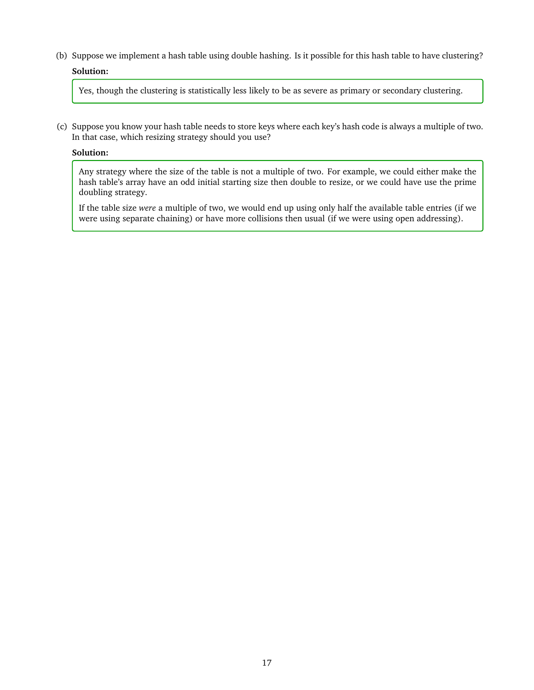(b) Suppose we implement a hash table using double hashing. Is it possible for this hash table to have clustering? **Solution:**

Yes, though the clustering is statistically less likely to be as severe as primary or secondary clustering.

(c) Suppose you know your hash table needs to store keys where each key's hash code is always a multiple of two. In that case, which resizing strategy should you use?

#### **Solution:**

Any strategy where the size of the table is not a multiple of two. For example, we could either make the hash table's array have an odd initial starting size then double to resize, or we could have use the prime doubling strategy.

If the table size *were* a multiple of two, we would end up using only half the available table entries (if we were using separate chaining) or have more collisions then usual (if we were using open addressing).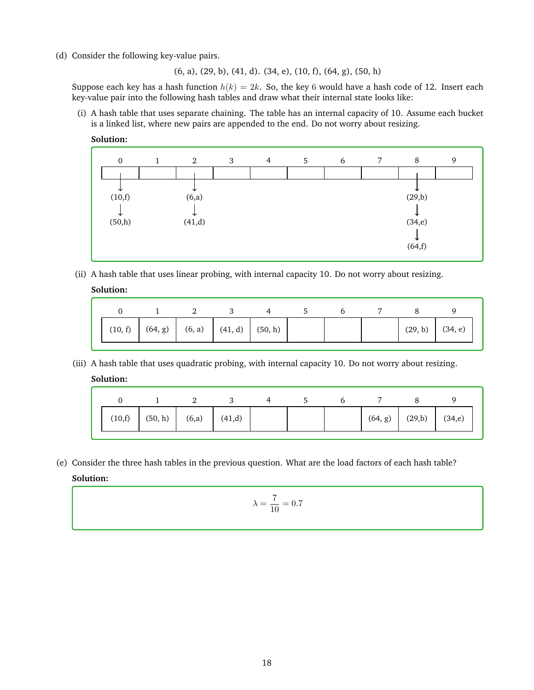(d) Consider the following key-value pairs.

(6, a), (29, b), (41, d). (34, e), (10, f), (64, g), (50, h)

Suppose each key has a hash function  $h(k) = 2k$ . So, the key 6 would have a hash code of 12. Insert each key-value pair into the following hash tables and draw what their internal state looks like:

(i) A hash table that uses separate chaining. The table has an internal capacity of 10. Assume each bucket is a linked list, where new pairs are appended to the end. Do not worry about resizing.





(ii) A hash table that uses linear probing, with internal capacity 10. Do not worry about resizing.

#### **Solution:**

|  | $(10, f)$ $(64, g)$ $(6, a)$ $(41, d)$ $(50, h)$ |  |  | (29, b) | (34, e) |
|--|--------------------------------------------------|--|--|---------|---------|

(iii) A hash table that uses quadratic probing, with internal capacity 10. Do not worry about resizing.

#### **Solution:**

|  | $(10,f)$ $(50,h)$ $(6,a)$ $(41,d)$ |  |  |  | $(64, g)$ $(29,b)$ $(34,e)$ |  |
|--|------------------------------------|--|--|--|-----------------------------|--|

(e) Consider the three hash tables in the previous question. What are the load factors of each hash table? **Solution:**

$$
\lambda = \frac{7}{10} = 0.7
$$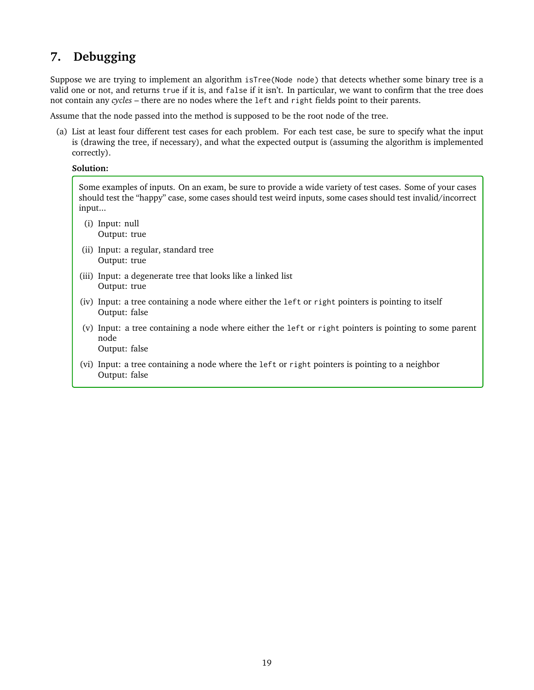## **7. Debugging**

Suppose we are trying to implement an algorithm isTree(Node node) that detects whether some binary tree is a valid one or not, and returns true if it is, and false if it isn't. In particular, we want to confirm that the tree does not contain any *cycles* – there are no nodes where the left and right fields point to their parents.

Assume that the node passed into the method is supposed to be the root node of the tree.

(a) List at least four different test cases for each problem. For each test case, be sure to specify what the input is (drawing the tree, if necessary), and what the expected output is (assuming the algorithm is implemented correctly).

#### **Solution:**

Some examples of inputs. On an exam, be sure to provide a wide variety of test cases. Some of your cases should test the "happy" case, some cases should test weird inputs, some cases should test invalid/incorrect input...

- (i) Input: null Output: true
- (ii) Input: a regular, standard tree Output: true
- (iii) Input: a degenerate tree that looks like a linked list Output: true
- (iv) Input: a tree containing a node where either the left or right pointers is pointing to itself Output: false
- (v) Input: a tree containing a node where either the left or right pointers is pointing to some parent node

Output: false

(vi) Input: a tree containing a node where the left or right pointers is pointing to a neighbor Output: false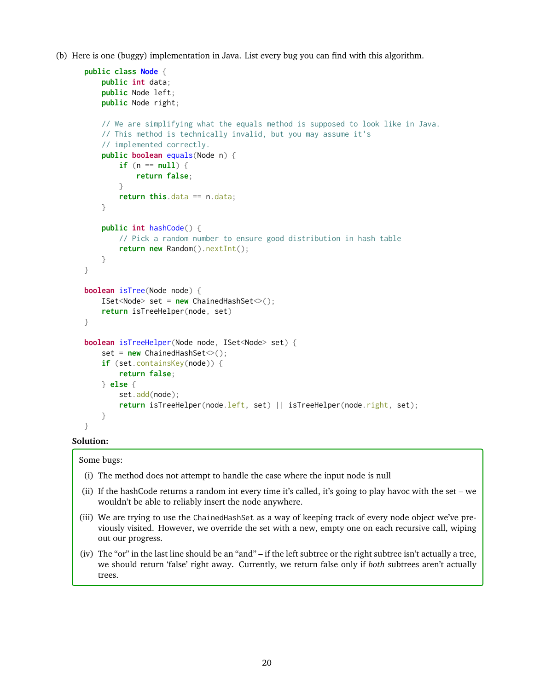(b) Here is one (buggy) implementation in Java. List every bug you can find with this algorithm.

```
public class Node {
    public int data;
    public Node left;
    public Node right;
    // We are simplifying what the equals method is supposed to look like in Java.
    // This method is technically invalid, but you may assume it's
    // implemented correctly.
    public boolean equals(Node n) {
        if (n == null) {
            return false;
        }
        return this.data == n.data;
    }
    public int hashCode() {
        // Pick a random number to ensure good distribution in hash table
        return new Random().nextInt();
    }
}
boolean isTree(Node node) {
    ISet<Node> set = new ChainedHashSet<>();
    return isTreeHelper(node, set)
}
boolean isTreeHelper(Node node, ISet<Node> set) {
    set = new ChainedHashSet<>();
    if (set.containsKey(node)) {
        return false;
    } else {
        set.add(node);
        return isTreeHelper(node.left, set) || isTreeHelper(node.right, set);
    }
}
```
#### **Solution:**

Some bugs:

- (i) The method does not attempt to handle the case where the input node is null
- (ii) If the hashCode returns a random int every time it's called, it's going to play havoc with the set we wouldn't be able to reliably insert the node anywhere.
- (iii) We are trying to use the ChainedHashSet as a way of keeping track of every node object we've previously visited. However, we override the set with a new, empty one on each recursive call, wiping out our progress.
- (iv) The "or" in the last line should be an "and" if the left subtree or the right subtree isn't actually a tree, we should return 'false' right away. Currently, we return false only if *both* subtrees aren't actually trees.